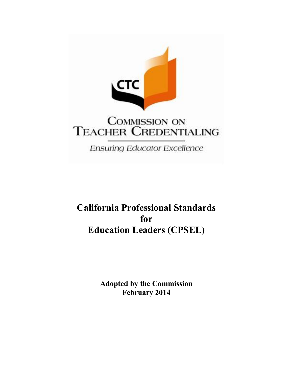

# **California Professional Standards** for **Education Leaders (CPSEL)**

**Adopted by the Commission February 2014**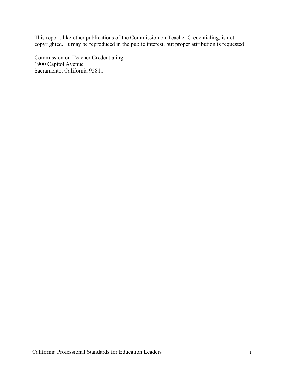This report, like other publications of the Commission on Teacher Credentialing, is not copyrighted. It may be reproduced in the public interest, but proper attribution is requested.

Commission on Teacher Credentialing 1900 Capitol Avenue Sacramento, California 95811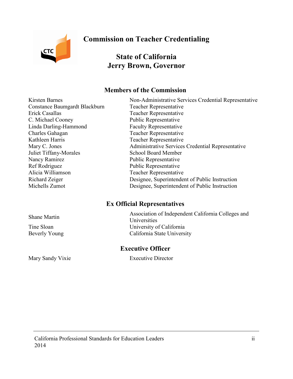**CTC** 

# **Commission on Teacher Credentialing**

# **State of California Jerry Brown, Governor**

# **Members of the Commission**

Constance Baumgardt Blackburn Teacher Representative Erick Casallas Teacher Representative C. Michael Cooney Public Representative Linda Darling-Hammond Faculty Representative Charles Gahagan Teacher Representative Kathleen Harris Teacher Representative Juliet Tiffany-Morales School Board Member Nancy Ramirez Public Representative Ref Rodriguez Public Representative Alicia Williamson Teacher Representative

<span id="page-2-0"></span>Kirsten Barnes The Services Non-Administrative Services Credential Representative Mary C. Jones **Administrative Services Credential Representative** Richard Zeiger Designee, Superintendent of Public Instruction Michells Zumot Designee, Superintendent of Public Instruction

# **Ex Official Representatives**

Association of Independent California Colleges and Shane Martin Theorem and The Massociation Tine Sloan University of California Beverly Young California State University

**Executive Officer** 

Mary Sandy Vixie Executive Director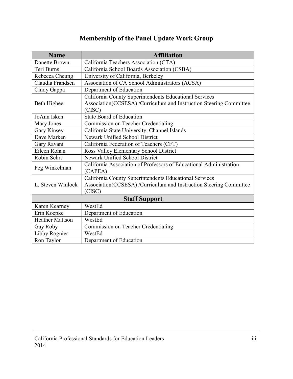| <b>Membership of the Panel Update Work Group</b> |  |  |
|--------------------------------------------------|--|--|
|--------------------------------------------------|--|--|

<span id="page-3-0"></span>

| <b>Name</b>            | <b>Affiliation</b>                                                 |  |
|------------------------|--------------------------------------------------------------------|--|
| Danette Brown          | California Teachers Association (CTA)                              |  |
| Teri Burns             | California School Boards Association (CSBA)                        |  |
| Rebecca Cheung         | University of California, Berkeley                                 |  |
| Claudia Frandsen       | Association of CA School Administrators (ACSA)                     |  |
| Cindy Gappa            | Department of Education                                            |  |
|                        | California County Superintendents Educational Services             |  |
| Beth Higbee            | Association(CCSESA) /Curriculum and Instruction Steering Committee |  |
|                        | (CISC)                                                             |  |
| JoAnn Isken            | <b>State Board of Education</b>                                    |  |
| Mary Jones             | Commission on Teacher Credentialing                                |  |
| Gary Kinsey            | California State University, Channel Islands                       |  |
| Dave Marken            | Newark Unified School District                                     |  |
| Gary Ravani            | California Federation of Teachers (CFT)                            |  |
| Eileen Rohan           | Ross Valley Elementary School District                             |  |
| Robin Sehrt            | Newark Unified School District                                     |  |
| Peg Winkelman          | California Association of Professors of Educational Administration |  |
|                        | (CAPEA)                                                            |  |
| L. Steven Winlock      | California County Superintendents Educational Services             |  |
|                        | Association(CCSESA) /Curriculum and Instruction Steering Committee |  |
|                        | (CISC)                                                             |  |
| <b>Staff Support</b>   |                                                                    |  |
| Karen Kearney          | WestEd                                                             |  |
| Erin Koepke            | Department of Education                                            |  |
| <b>Heather Mattson</b> | WestEd                                                             |  |
| Gay Roby               | Commission on Teacher Credentialing                                |  |
| Libby Rognier          | WestEd                                                             |  |
| Ron Taylor             | Department of Education                                            |  |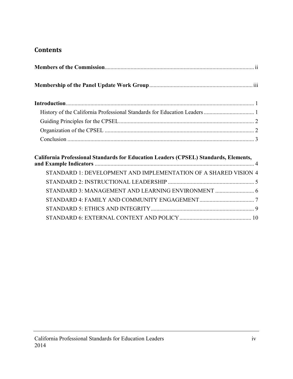# **Contents**

| California Professional Standards for Education Leaders (CPSEL) Standards, Elements, |
|--------------------------------------------------------------------------------------|
| STANDARD 1: DEVELOPMENT AND IMPLEMENTATION OF A SHARED VISION 4                      |
|                                                                                      |
| STANDARD 3: MANAGEMENT AND LEARNING ENVIRONMENT  6                                   |
|                                                                                      |

[STANDARD 5: ETHICS AND INTEGRITY........................................................................ 9](#page-13-0)  [STANDARD 6: EXTERNAL CONTEXT AND POLICY.................................................. 1](#page-14-0)0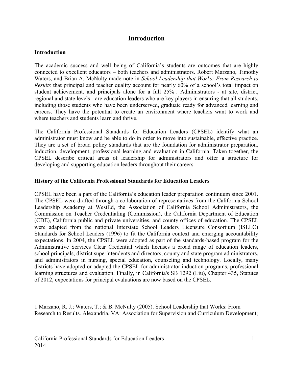# **Introduction**

#### <span id="page-5-0"></span>**Introduction**

 $\overline{a}$ 

 The academic success and well being of California's students are outcomes that are highly connected to excellent educators – both teachers and administrators. Robert Marzano, Timothy Waters, and Brian A. McNulty made note in *School Leadership that Works: From Research to Results* that principal and teacher quality account for nearly 60% of a school's total impact on student achievement, and principals alone for a full 25%1. Administrators - at site, district, regional and state levels - are education leaders who are key players in ensuring that all students, including those students who have been underserved, graduate ready for advanced learning and careers. They have the potential to create an environment where teachers want to work and where teachers and students learn and thrive.

 The California Professional Standards for Education Leaders (CPSEL) identify what an administrator must know and be able to do in order to move into sustainable, effective practice. They are a set of broad policy standards that are the foundation for administrator preparation, induction, development, professional learning and evaluation in California. Taken together, the CPSEL describe critical areas of leadership for administrators and offer a structure for developing and supporting education leaders throughout their careers.

#### <span id="page-5-1"></span> **History of the California Professional Standards for Education Leaders**

CPSEL have been a part of the California's education leader preparation continuum since 2001. The CPSEL were drafted through a collaboration of representatives from the California School Leadership Academy at WestEd, the Association of California School Administrators, the Commission on Teacher Credentialing (Commission), the California Department of Education (CDE), California public and private universities, and county offices of education. The CPSEL were adapted from the national Interstate School Leaders Licensure Consortium (ISLLC) Standards for School Leaders (1996) to fit the California context and emerging accountability expectations. In 2004, the CPSEL were adopted as part of the standards-based program for the Administrative Services Clear Credential which licenses a broad range of education leaders, school principals, district superintendents and directors, county and state program administrators, and administrators in nursing, special education, counseling and technology. Locally, many districts have adopted or adapted the CPSEL for administrator induction programs, professional learning structures and evaluation. Finally, in California's SB 1292 (Liu), Chapter 435, Statutes of 2012, expectations for principal evaluations are now based on the CPSEL.

 Research to Results. Alexandria, VA: Association for Supervision and Curriculum Development; 1 Marzano, R. J.; Waters, T.; & B. McNulty (2005). School Leadership that Works: From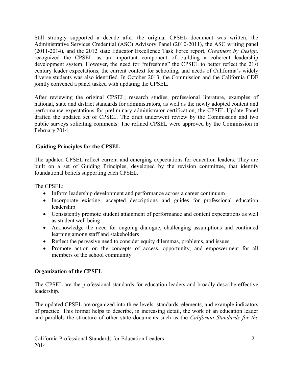Still strongly supported a decade after the original CPSEL document was written, the Administrative Services Credential (ASC) Advisory Panel (2010-2011), the ASC writing panel (2011-2014), and the 2012 state Educator Excellence Task Force report, *Greatness by Design,*  recognized the CPSEL as an important component of building a coherent leadership development system. However, the need for "refreshing" the CPSEL to better reflect the 21st century leader expectations, the current context for schooling, and needs of California's widely diverse students was also identified. In October 2013, the Commission and the California CDE jointly convened a panel tasked with updating the CPSEL.

 After reviewing the original CPSEL, research studies, professional literature, examples of national, state and district standards for administrators, as well as the newly adopted content and performance expectations for preliminary administrator certification, the CPSEL Update Panel drafted the updated set of CPSEL. The draft underwent review by the Commission and two public surveys soliciting comments. The refined CPSEL were approved by the Commission in February 2014.

# <span id="page-6-0"></span> **Guiding Principles for the CPSEL**

 The updated CPSEL reflect current and emerging expectations for education leaders. They are built on a set of Guiding Principles, developed by the revision committee, that identify foundational beliefs supporting each CPSEL.

The CPSEL:

- Inform leadership development and performance across a career continuum
- Incorporate existing, accepted descriptions and guides for professional education leadership
- Consistently promote student attainment of performance and content expectations as well as student well being
- Acknowledge the need for ongoing dialogue, challenging assumptions and continued learning among staff and stakeholders
- Reflect the pervasive need to consider equity dilemmas, problems, and issues
- Promote action on the concepts of access, opportunity, and empowerment for all members of the school community

# <span id="page-6-1"></span>**Organization of the CPSEL**

 The CPSEL are the professional standards for education leaders and broadly describe effective leadership.

 The updated CPSEL are organized into three levels: standards, elements, and example indicators of practice. This format helps to describe, in increasing detail, the work of an education leader and parallels the structure of other state documents such as the *California Standards for the*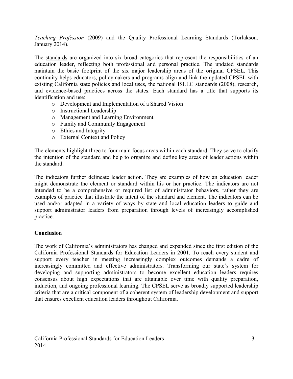*Teaching Profession* (2009) and the Quality Professional Learning Standards (Torlakson, January 2014).

The standards are organized into six broad categories that represent the responsibilities of an education leader, reflecting both professional and personal practice. The updated standards maintain the basic footprint of the six major leadership areas of the original CPSEL. This continuity helps educators, policymakers and programs align and link the updated CPSEL with existing California state policies and local uses, the national ISLLC standards (2008), research, and evidence-based practices across the states. Each standard has a title that supports its identification and use:

- o Development and Implementation of a Shared Vision
- o Instructional Leadership
- o Management and Learning Environment
- o Family and Community Engagement
- o Ethics and Integrity
- o External Context and Policy

o External Context and Policy<br>The <u>elements</u> highlight three to four main focus areas within each standard. They serve to clarify the intention of the standard and help to organize and define key areas of leader actions within the standard.

The indicators further delineate leader action. They are examples of how an education leader might demonstrate the element or standard within his or her practice. The indicators are not intended to be a comprehensive or required list of administrator behaviors, rather they are examples of practice that illustrate the intent of the standard and element. The indicators can be used and/or adapted in a variety of ways by state and local education leaders to guide and support administrator leaders from preparation through levels of increasingly accomplished practice.

# <span id="page-7-0"></span>**Conclusion**

 The work of California's administrators has changed and expanded since the first edition of the California Professional Standards for Education Leaders in 2001. To reach every student and support every teacher in meeting increasingly complex outcomes demands a cadre of increasingly committed and effective administrators. Transforming our state's system for developing and supporting administrators to become excellent education leaders requires consensus about high expectations that are attainable over time with quality preparation, induction, and ongoing professional learning. The CPSEL serve as broadly supported leadership criteria that are a critical component of a coherent system of leadership development and support that ensures excellent education leaders throughout California.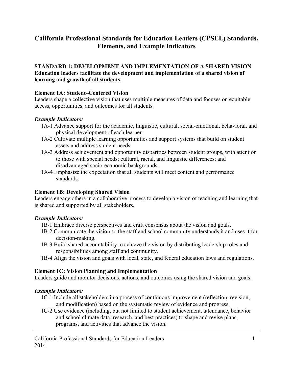# <span id="page-8-0"></span>**California Professional Standards for Education Leaders (CPSEL) Standards, Elements, and Example Indicators**

#### <span id="page-8-1"></span> **learning and growth of all students. STANDARD 1: DEVELOPMENT AND IMPLEMENTATION OF A SHARED VISION Education leaders facilitate the development and implementation of a shared vision of**

#### **Element 1A: Student–Centered Vision**

Leaders shape a collective vision that uses multiple measures of data and focuses on equitable access, opportunities, and outcomes for all students.

#### *Example Indicators:*

- 1A-1 Advance support for the academic, linguistic, cultural, social-emotional, behavioral, and physical development of each learner.
- 1A-2 Cultivate multiple learning opportunities and support systems that build on student assets and address student needs.
- 1A-3 Address achievement and opportunity disparities between student groups, with attention to those with special needs; cultural, racial, and linguistic differences; and disadvantaged socio-economic backgrounds.
- 1A-4 Emphasize the expectation that all students will meet content and performance standards.

# **Element 1B: Developing Shared Vision**

 is shared and supported by all stakeholders. Leaders engage others in a collaborative process to develop a vision of teaching and learning that

# *Example Indicators:*

- 1B-1 Embrace diverse perspectives and craft consensus about the vision and goals.
- 1B-2 Communicate the vision so the staff and school community understands it and uses it for decision-making.
- 1B-3 Build shared accountability to achieve the vision by distributing leadership roles and responsibilities among staff and community.
- 1B-4 Align the vision and goals with local, state, and federal education laws and regulations.

# **Element 1C: Vision Planning and Implementation**

Leaders guide and monitor decisions, actions, and outcomes using the shared vision and goals.

- 1C-1 Include all stakeholders in a process of continuous improvement (reflection, revision, and modification) based on the systematic review of evidence and progress.
- 1C-2 Use evidence (including, but not limited to student achievement, attendance, behavior and school climate data, research, and best practices) to shape and revise plans, programs, and activities that advance the vision.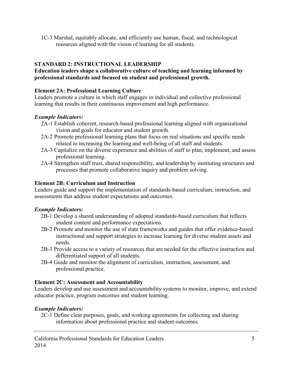resources aligned with the vision of learning for all students. 1C-3 Marshal, equitably allocate, and efficiently use human, fiscal, and technological

# <span id="page-9-0"></span> **STANDARD 2: INSTRUCTIONAL LEADERSHIP**

#### **Education leaders shape a collaborative culture of teaching and learning informed by professional standards and focused on student and professional growth.**

#### **Element 2A: Professional Learning Culture**

Leaders promote a culture in which staff engages in individual and collective professional learning that results in their continuous improvement and high performance.

# *Example Indicators:*

- 2A-1 Establish coherent, research-based professional learning aligned with organizational vision and goals for educator and student growth.
- 2A-2 Promote professional learning plans that focus on real situations and specific needs related to increasing the learning and well-being of all staff and students.
- 2A-3 Capitalize on the diverse experience and abilities of staff to plan, implement, and assess professional learning.
- 2A-4 Strengthen staff trust, shared responsibility, and leadership by instituting structures and processes that promote collaborative inquiry and problem solving.

#### **Element 2B: Curriculum and Instruction**

Leaders guide and support the implementation of standards-based curriculum, instruction, and assessments that address student expectations and outcomes.

# *Example Indicators:*

- 2B-1 Develop a shared understanding of adopted standards-based curriculum that reflects student content and performance expectations.
- 2B-2 Promote and monitor the use of state frameworks and guides that offer evidence-based instructional and support strategies to increase learning for diverse student assets and needs.
- 2B-3 Provide access to a variety of resources that are needed for the effective instruction and differentiated support of all students.
- 2B-4 Guide and monitor the alignment of curriculum, instruction, assessment, and professional practice.

# **Element 2C: Assessment and Accountability**

Leaders develop and use assessment and accountability systems to monitor, improve, and extend educator practice, program outcomes and student learning.

# *Example Indicators:*

2C-1 Define clear purposes, goals, and working agreements for collecting and sharing information about professional practice and student outcomes.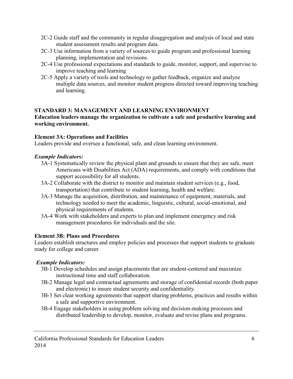- 2C-2 Guide staff and the community in regular disaggregation and analysis of local and state student assessment results and program data.
- 2C-3 Use information from a variety of sources to guide program and professional learning planning, implementation and revisions.
- 2C-4 Use professional expectations and standards to guide, monitor, support, and supervise to improve teaching and learning
- 2C-5 Apply a variety of tools and technology to gather feedback, organize and analyze multiple data sources, and monitor student progress directed toward improving teaching and learning.

# <span id="page-10-0"></span>**STANDARD 3: MANAGEMENT AND LEARNING ENVIRONMENT**

#### **Education leaders manage the organization to cultivate a safe and productive learning and working environment.**

# **Element 3A: Operations and Facilities**

Leaders provide and oversee a functional, safe, and clean learning environment.

# *Example Indicators:*

- 3A-1 Systematically review the physical plant and grounds to ensure that they are safe, meet Americans with Disabilities Act (ADA) requirements, and comply with conditions that support accessibility for all students.
- 3A-2 Collaborate with the district to monitor and maintain student services (e.g., food, transportation) that contribute to student learning, health and welfare.
- 3A-3 Manage the acquisition, distribution, and maintenance of equipment, materials, and technology needed to meet the academic, linguistic, cultural, social-emotional, and physical requirements of students.
- 3A-4 Work with stakeholders and experts to plan and implement emergency and risk management procedures for individuals and the site.

# **Element 3B: Plans and Procedures**

 ready for college and career. Leaders establish structures and employ policies and processes that support students to graduate

- 3B-1 Develop schedules and assign placements that are student-centered and maximize instructional time and staff collaboration.
- 3B-2 Manage legal and contractual agreements and storage of confidential records (both paper and electronic) to insure student security and confidentiality.
- 3B-3 Set clear working agreements that support sharing problems, practices and results within a safe and supportive environment.
- 3B-4 Engage stakeholders in using problem solving and decision-making processes and distributed leadership to develop, monitor, evaluate and revise plans and programs.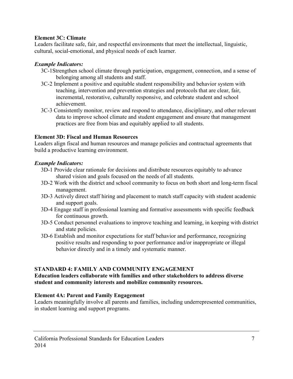#### **Element 3C: Climate**

Leaders facilitate safe, fair, and respectful environments that meet the intellectual, linguistic, cultural, social-emotional, and physical needs of each learner.

# *Example Indicators:*

- 3C-1Strengthen school climate through participation, engagement, connection, and a sense of belonging among all students and staff.
- 3C-2 Implement a positive and equitable student responsibility and behavior system with teaching, intervention and prevention strategies and protocols that are clear, fair, incremental, restorative, culturally responsive, and celebrate student and school achievement.
- 3C-3 Consistently monitor, review and respond to attendance, disciplinary, and other relevant data to improve school climate and student engagement and ensure that management practices are free from bias and equitably applied to all students.

# **Element 3D: Fiscal and Human Resources**

Leaders align fiscal and human resources and manage policies and contractual agreements that build a productive learning environment.

# *Example Indicators:*

- 3D-1 Provide clear rationale for decisions and distribute resources equitably to advance shared vision and goals focused on the needs of all students.
- 3D-2 Work with the district and school community to focus on both short and long-term fiscal management.
- 3D-3 Actively direct staff hiring and placement to match staff capacity with student academic and support goals.
- 3D-4 Engage staff in professional learning and formative assessments with specific feedback for continuous growth.
- 3D-5 Conduct personnel evaluations to improve teaching and learning, in keeping with district and state policies.
- 3D-6 Establish and monitor expectations for staff behavior and performance, recognizing positive results and responding to poor performance and/or inappropriate or illegal behavior directly and in a timely and systematic manner.

# <span id="page-11-0"></span>**STANDARD 4: FAMILY AND COMMUNITY ENGAGEMENT**

#### **Education leaders collaborate with families and other stakeholders to address diverse student and community interests and mobilize community resources.**

# **Element 4A: Parent and Family Engagement**

 Leaders meaningfully involve all parents and families, including underrepresented communities, in student learning and support programs.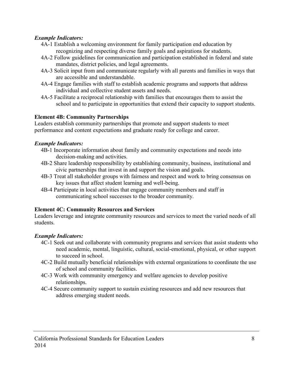#### *Example Indicators:*

- 4A-1 Establish a welcoming environment for family participation end education by recognizing and respecting diverse family goals and aspirations for students.
- 4A-2 Follow guidelines for communication and participation established in federal and state mandates, district policies, and legal agreements.
- 4A-3 Solicit input from and communicate regularly with all parents and families in ways that are accessible and understandable.
- 4A-4 Engage families with staff to establish academic programs and supports that address individual and collective student assets and needs.
- 4A-5 Facilitate a reciprocal relationship with families that encourages them to assist the school and to participate in opportunities that extend their capacity to support students.

#### **Element 4B: Community Partnerships**

Leaders establish community partnerships that promote and support students to meet performance and content expectations and graduate ready for college and career.

#### *Example Indicators:*

- 4B-1 Incorporate information about family and community expectations and needs into decision-making and activities.
- 4B-2 Share leadership responsibility by establishing community, business, institutional and civic partnerships that invest in and support the vision and goals.
- 4B-3 Treat all stakeholder groups with fairness and respect and work to bring consensus on key issues that affect student learning and well-being.
- 4B-4 Participate in local activities that engage community members and staff in communicating school successes to the broader community.

# **Element 4C: Community Resources and Services**

 Leaders leverage and integrate community resources and services to meet the varied needs of all students.

- 4C-1 Seek out and collaborate with community programs and services that assist students who need academic, mental, linguistic, cultural, social-emotional, physical, or other support to succeed in school.
- 4C-2 Build mutually beneficial relationships with external organizations to coordinate the use of school and community facilities.
- 4C-3 Work with community emergency and welfare agencies to develop positive relationships.
- 4C-4 Secure community support to sustain existing resources and add new resources that address emerging student needs.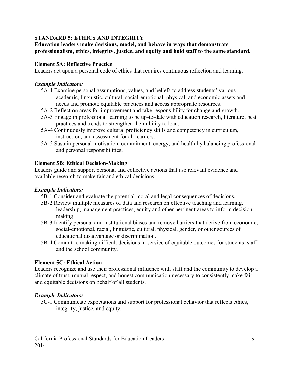# <span id="page-13-0"></span>**STANDARD 5: ETHICS AND INTEGRITY**

**Education leaders make decisions, model, and behave in ways that demonstrate professionalism, ethics, integrity, justice, and equity and hold staff to the same standard.**

#### **Element 5A: Reflective Practice**

Leaders act upon a personal code of ethics that requires continuous reflection and learning.

#### *Example Indicators:*

- 5A-1 Examine personal assumptions, values, and beliefs to address students' various academic, linguistic, cultural, social-emotional, physical, and economic assets and needs and promote equitable practices and access appropriate resources.
- 5A-2 Reflect on areas for improvement and take responsibility for change and growth.
- 5A-3 Engage in professional learning to be up-to-date with education research, literature, best practices and trends to strengthen their ability to lead.
- 5A-4 Continuously improve cultural proficiency skills and competency in curriculum, instruction, and assessment for all learners.
- 5A-5 Sustain personal motivation, commitment, energy, and health by balancing professional and personal responsibilities.

#### **Element 5B: Ethical Decision-Making**

Leaders guide and support personal and collective actions that use relevant evidence and available research to make fair and ethical decisions.

#### *Example Indicators:*

- 5B-1 Consider and evaluate the potential moral and legal consequences of decisions.
- 5B-2 Review multiple measures of data and research on effective teaching and learning, leadership, management practices, equity and other pertinent areas to inform decisionmaking.
- 5B-3 Identify personal and institutional biases and remove barriers that derive from economic, social-emotional, racial, linguistic, cultural, physical, gender, or other sources of educational disadvantage or discrimination.
- 5B-4 Commit to making difficult decisions in service of equitable outcomes for students, staff and the school community.

#### **Element 5C: Ethical Action**

Leaders recognize and use their professional influence with staff and the community to develop a climate of trust, mutual respect, and honest communication necessary to consistently make fair and equitable decisions on behalf of all students.

#### *Example Indicators:*

5C-1 Communicate expectations and support for professional behavior that reflects ethics, integrity, justice, and equity.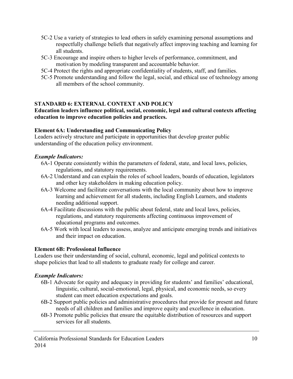- respectfully challenge beliefs that negatively affect improving teaching and learning for 5C-2 Use a variety of strategies to lead others in safely examining personal assumptions and all students.
- 5C-3 Encourage and inspire others to higher levels of performance, commitment, and motivation by modeling transparent and accountable behavior.
- 5C-4 Protect the rights and appropriate confidentiality of students, staff, and families.
- 5C-5 Promote understanding and follow the legal, social, and ethical use of technology among all members of the school community.

# <span id="page-14-0"></span>**STANDARD 6: EXTERNAL CONTEXT AND POLICY**

# **Education leaders influence political, social, economic, legal and cultural contexts affecting education to improve education policies and practices.**

# **Element 6A: Understanding and Communicating Policy**

 understanding of the education policy environment. Leaders actively structure and participate in opportunities that develop greater public

# *Example Indicators:*

- 6A-1 Operate consistently within the parameters of federal, state, and local laws, policies, regulations, and statutory requirements.
- 6A-2 Understand and can explain the roles of school leaders, boards of education, legislators and other key stakeholders in making education policy.
- 6A-3 Welcome and facilitate conversations with the local community about how to improve learning and achievement for all students, including English Learners, and students needing additional support.
- 6A-4 Facilitate discussions with the public about federal, state and local laws, policies, regulations, and statutory requirements affecting continuous improvement of educational programs and outcomes.
- 6A-5 Work with local leaders to assess, analyze and anticipate emerging trends and initiatives and their impact on education.

# **Element 6B: Professional Influence**

 shape policies that lead to all students to graduate ready for college and career. Leaders use their understanding of social, cultural, economic, legal and political contexts to

- 6B-1 Advocate for equity and adequacy in providing for students' and families' educational, linguistic, cultural, social-emotional, legal, physical, and economic needs, so every student can meet education expectations and goals.
- 6B-2 Support public policies and administrative procedures that provide for present and future needs of all children and families and improve equity and excellence in education.
- 6B-3 Promote public policies that ensure the equitable distribution of resources and support services for all students.